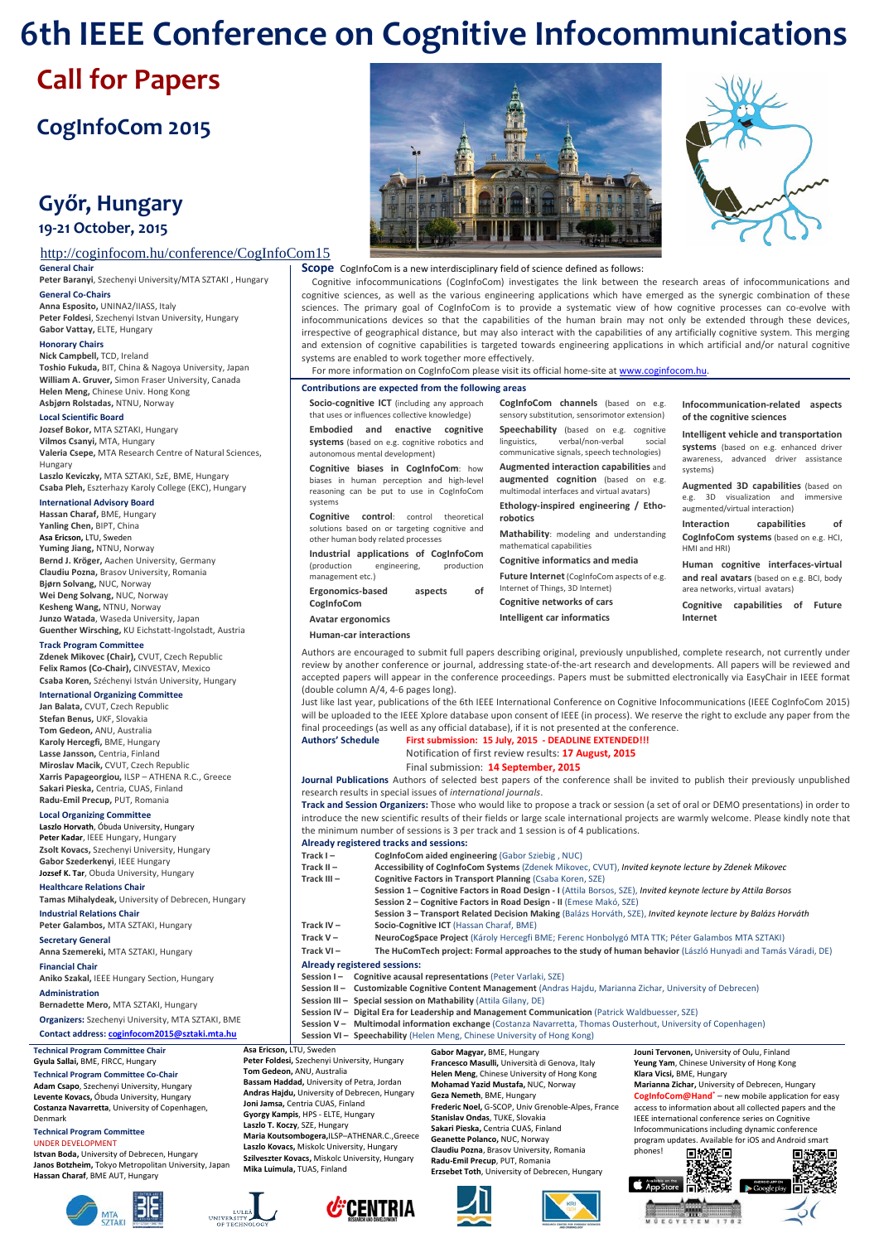# **6th IEEE Conference on Cognitive Infocommunications**

# **Call for Papers**

# **CogInfoCom 2015**

# **Győr, Hungary 19-21 October, 2015**

# http://coginfocom.hu/conference/CogInfoCom15

**General Chair**

**Peter Baranyi**, Szechenyi University/MTA SZTAKI , Hungary **General Co-Chairs**

**Anna Esposito,** UNINA2/IIASS, Italy **Peter Foldesi**, Szechenyi Istvan University, Hungary **Gabor Vattay,** ELTE, Hungary

#### **Honorary Chairs**

**Nick Campbell,** TCD, Ireland **Toshio Fukuda,** BIT, China & Nagoya University, Japan **William A. Gruver,** Simon Fraser University, Canada **Helen Meng,** Chinese Univ. Hong Kong **Asbjørn Rolstadas,** NTNU, Norway

#### **Local Scientific Board**

**Jozsef Bokor,** MTA SZTAKI, Hungary **Vilmos Csanyi,** MTA, Hungary **Valeria Csepe,** MTA Research Centre of Natural Sciences, Hungary

**Laszlo Keviczky,** MTA SZTAKI, SzE, BME, Hungary **Csaba Pleh,** Eszterhazy Karoly College (EKC), Hungary

#### **International Advisory Board**

**Hassan Charaf,** BME, Hungary **Yanling Chen,** BIPT, China **Asa Ericson,** LTU, Sweden **Yuming Jiang,** NTNU, Norway **Bernd J. Kröger,** Aachen University, Germany **Claudiu Pozna,** Brasov University, Romania **Bjørn Solvang,** NUC, Norway **Wei Deng Solvang,** NUC, Norway **Kesheng Wang,** NTNU, Norway **Junzo Watada**, Waseda University, Japan **Guenther Wirsching,** KU Eichstatt-Ingolstadt, Austria

#### **Track Program Committee**

**Zdenek Mikovec (Chair),** CVUT, Czech Republic **Felix Ramos (Co-Chair),** CINVESTAV, Mexico **Csaba Koren,** Széchenyi István University, Hungary

# **International Organizing Committee**

**Jan Balata,** CVUT, Czech Republic **Stefan Benus,** UKF, Slovakia **Tom Gedeon,** ANU, Australia **Karoly Hercegfi,** BME, Hungary **Lasse Jansson,** Centria, Finland **Miroslav Macik,** CVUT, Czech Republic **Xarris Papageorgiou,** ILSP – ATHENA R.C., Greece **Sakari Pieska,** Centria, CUAS, Finland **Radu-Emil Precup,** PUT, Romania

#### **Local Organizing Committee**

**Laszlo Horvath**, Óbuda University, Hungary **Peter Kadar**, IEEE Hungary, Hungary **Zsolt Kovacs,** Szechenyi University, Hungary **Gabor Szederkenyi**, IEEE Hungary **Jozsef K. Tar**, Obuda University, Hungary

# **Healthcare Relations Chair**

**Tamas Mihalydeak,** University of Debrecen, Hungary **Industrial Relations Chair**

**Peter Galambos,** MTA SZTAKI, Hungary

**Secretary General**

**Anna Szemereki,** MTA SZTAKI, Hungary

**Financial Chair**

**Aniko Szakal,** IEEE Hungary Section, Hungary **Administration**

# **Bernadette Mero,** MTA SZTAKI, Hungary

**Organizers:** Szechenyi University, MTA SZTAKI, BME **Contact address[: coginfocom2015@s](mailto:coginfocom2015@)ztaki.mta.hu**

j

UNIVERSITY

**Technical Program Committee Chair**

 **Gyula Sallai,** BME, FIRCC, Hungary **Technical Program Committee Co-Chair Adam Csapo**, Szechenyi University, Hungary

**Levente Kovacs,** Óbuda University, Hungary **Costanza Navarretta**, University of Copenhagen, Denmark

**Technical Program Committee** UNDER DEVELOPMENT

**Istvan Boda,** University of Debrecen, Hungary **Janos Botzheim,** Tokyo Metropolitan University, Japan **Hassan Charaf**, BME AUT, Hungary







#### **Scope** CogInfoCom is a new interdisciplinary field of science defined as follows:

Cognitive infocommunications (CogInfoCom) investigates the link between the research areas of infocommunications and cognitive sciences, as well as the various engineering applications which have emerged as the synergic combination of these sciences. The primary goal of CogInfoCom is to provide a systematic view of how cognitive processes can co-evolve with infocommunications devices so that the capabilities of the human brain may not only be extended through these devices, irrespective of geographical distance, but may also interact with the capabilities of any artificially cognitive system. This merging and extension of cognitive capabilities is targeted towards engineering applications in which artificial and/or natural cognitive systems are enabled to work together more effectively.

|  | For more information on CogInfoCom please visit its official home-site at www.coginfocom.hu. |  |
|--|----------------------------------------------------------------------------------------------|--|
|  |                                                                                              |  |

#### **Contributions are expected from the following areas**

**Socio-cognitive ICT** (including any approach that uses or influences collective knowledge) **Embodied and enactive cognitive systems** (based on e.g. cognitive robotics and autonomous mental development) **Cognitive biases in CogInfoCom**: how biases in human perception and high-level

reasoning can be put to use in CogInfoCom systems **Cognitive control**: control theoretical

solutions based on or targeting cognitive and other human body related processes **Industrial applications of CogInfoCom**<br>
(production engineering, production

engineering, production management etc.)

| Ergonomics-based  | aspects | of |
|-------------------|---------|----|
| CogInfoCom        |         |    |
| Avatar ergonomics |         |    |

**Human-car interactions**

**CogInfoCom channels** (based on e.g. sensory substitution, sensorimotor extension) **Speechability** (based on e.g. cognitive linguistics, verbal/non-verbal social communicative signals, speech technologies) **Augmented interaction capabilities** and **augmented cognition** (based on e.g. multimodal interfaces and virtual avatars) **Ethology-inspired engineering / Etho-**

**robotics Mathability**: modeling and understanding mathematical capabilities

**Cognitive informatics and media**

**Future Internet** (CogInfoCom aspects of e.g. Internet of Things, 3D Internet) **Cognitive networks of cars**

**Intelligent car informatics**

#### **Infocommunication-related aspects of the cognitive sciences**

**Intelligent vehicle and transportation systems** (based on e.g. enhanced driver awareness, advanced driver assistance systems)

**Augmented 3D capabilities** (based on<br>e.g. 3D visualization and immersive e.g. 3D visualization and augmented/virtual interaction)

**Interaction capabilities of CogInfoCom systems** (based on e.g. HCI, HMI and HRI)

**Human cognitive interfaces-virtual and real avatars** (based on e.g. BCI, body area networks, virtual avatars)

**Cognitive capabilities of Future Internet**

Authors are encouraged to submit full papers describing original, previously unpublished, complete research, not currently under review by another conference or journal, addressing state-of-the-art research and developments. All papers will be reviewed and accepted papers will appear in the conference proceedings. Papers must be submitted electronically via EasyChair in IEEE format (double column A/4, 4-6 pages long).

Just like last year, publications of the 6th IEEE International Conference on Cognitive Infocommunications (IEEE CogInfoCom 2015) will be uploaded to the IEEE Xplore database upon consent of IEEE (in process). We reserve the right to exclude any paper from the final proceedings (as well as any official database), if it is not presented at the conference.

| Authors' Schedule | First submission: 15 July, 2015 - DEADLINE EXTENDED!!! |
|-------------------|--------------------------------------------------------|
|                   | Notification of first review results: 17 August. 2015  |
|                   | Final submission: 14 September, 2015                   |

**Journal Publications** Authors of selected best papers of the conference shall be invited to publish their previously unpublished research results in special issues of *international journals*.

**Track and Session Organizers:** Those who would like to propose a track or session (a set of oral or DEMO presentations) in order to introduce the new scientific results of their fields or large scale international projects are warmly welcome. Please kindly note that the minimum number of sessions is 3 per track and 1 session is of 4 publications.

#### **Already registered tracks and sessions:**

| Track $I -$   | CogInfoCom aided engineering (Gabor Sziebig, NUC)                                                               |
|---------------|-----------------------------------------------------------------------------------------------------------------|
| Track $II -$  | Accessibility of CogInfoCom Systems (Zdenek Mikovec, CVUT), Invited keynote lecture by Zdenek Mikovec           |
| Track $III -$ | <b>Cognitive Factors in Transport Planning (Csaba Koren, SZE)</b>                                               |
|               | Session 1 - Cognitive Factors in Road Design - I (Attila Borsos, SZE), Invited keynote lecture by Attila Borsos |
|               | Session 2 - Cognitive Factors in Road Design - II (Emese Makó, SZE)                                             |
|               | Session 3 - Transport Related Decision Making (Balázs Horváth, SZE), Invited keynote lecture by Balázs Horváth  |
| Track $IV -$  | Socio-Cognitive ICT (Hassan Charaf, BME)                                                                        |
| Track $V -$   | NeuroCogSpace Project (Károly Hercegfi BME; Ferenc Honbolygó MTA TTK; Péter Galambos MTA SZTAKI)                |
| Track $VI -$  | The HuComTech project: Formal approaches to the study of human behavior (László Hunyadi and Tamás Váradi, DE)   |
|               | Already registered sessions:                                                                                    |
|               | Session I- Cognitive acausal representations (Peter Varlaki, SZE)                                               |
|               | Session II - Customizable Cognitive Content Management (Andras Hajdu, Marianna Zichar, University of Debrecen)  |
|               | Session III - Special session on Mathability (Attila Gilany, DE)                                                |
|               | Session IV - Digital Era for Leadership and Management Communication (Patrick Waldbuesser, SZE)                 |
|               | Session V - Multimodal information exchange (Costanza Navarretta, Thomas Ousterhout, University of Copenhagen)  |

**Session VI – Speechability** (Helen Meng, Chinese University of Hong Kong)

**Asa Ericson,** LTU, Sweden **Gabor Magyar,** BME, Hungary **Jouni Tervonen,** University of Oulu, Finland **Peter Foldesi,** Szechenyi University, Hungary **Francesco Masulli,** Università di Genova, Italy **Yeung Yam**, Chinese University of Hong Kong **Tom Gedeon,** ANU, Australia **Helen Meng**, Chinese University of Hong Kong **Klara Vicsi,** BME, Hungary **Bassam Haddad,** University of Petra, Jordan **Mohamad Yazid Mustafa,** NUC, Norway **Marianna Zichar,** University of Debrecen, Hungary **Andras Hajdu,** University of Debrecen, Hungary **CogInfoCom@Hand\*** – new mobile application for easy **Geza Nemeth**, BME, Hungary **Frederic Noel,** G-SCOP, Univ Grenoble-Alpes, France **Joni Jamsa,** Centria CUAS, Finland access to information about all collected papers and the **Gyorgy Kampis**, HPS - ELTE, Hungary **Stanislav Ondas**, TUKE, Slovakia IEEE international conference series on Cognitive **Laszlo T. Koczy**, SZE, Hungary **Maria Koutsombogera,**ILSP–ATHENAR.C.,Greece **Sakari Pieska,** Centria CUAS, Finland Infocommunications including dynamic conference **Geanette Polanco,** NUC, Norway program updates. Available for iOS and Android smart **Laszlo Kovacs,** Miskolc University, Hungary **Claudiu Pozna**, Brasov University, Romania .<br>nhones! 回線被回 回线观点 **Szilveszter Kovacs,** Miskolc University, Hungary **Radu-Emil Precup**, PUT, Romania **Mika Luimula,** TUAS, Finland **Erzsebet Toth**, University of Debrecen, Hungary